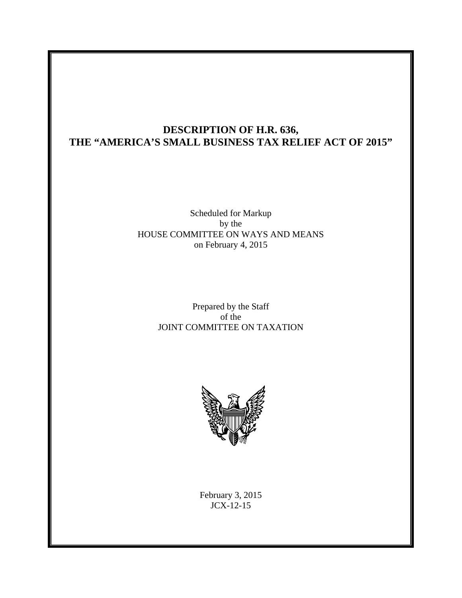# **DESCRIPTION OF H.R. 636, THE "AMERICA'S SMALL BUSINESS TAX RELIEF ACT OF 2015"**

### Scheduled for Markup by the HOUSE COMMITTEE ON WAYS AND MEANS on February 4, 2015

### Prepared by the Staff of the JOINT COMMITTEE ON TAXATION



February 3, 2015 JCX-12-15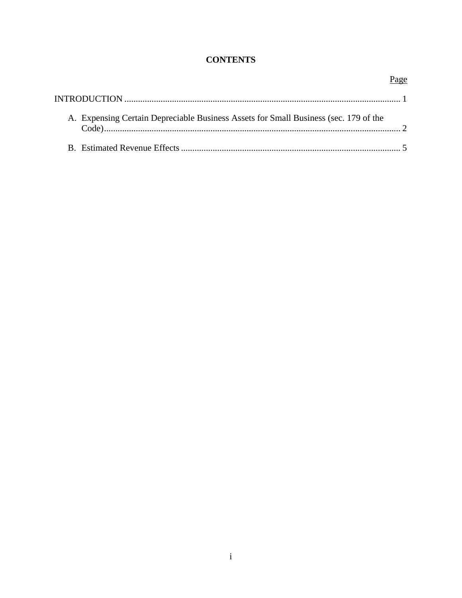## **CONTENTS**

| A. Expensing Certain Depreciable Business Assets for Small Business (sec. 179 of the |  |
|--------------------------------------------------------------------------------------|--|
|                                                                                      |  |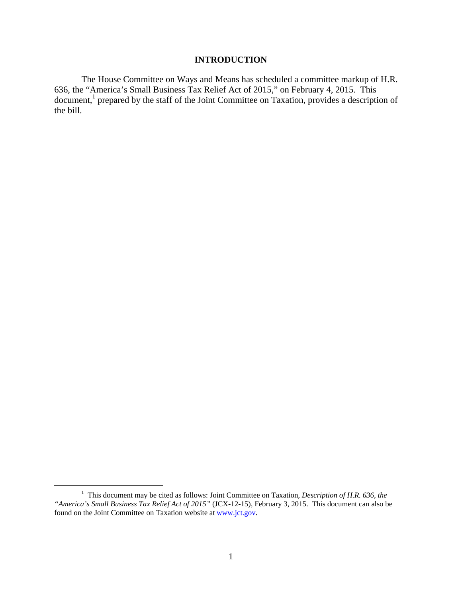#### **INTRODUCTION**

The House Committee on Ways and Means has scheduled a committee markup of H.R. 636, the "America's Small Business Tax Relief Act of 2015," on February 4, 2015. This document,<sup>1</sup> prepared by the staff of the Joint Committee on Taxation, provides a description of the bill.

<sup>&</sup>lt;sup>1</sup> This document may be cited as follows: Joint Committee on Taxation, *Description of H.R. 636, the "America's Small Business Tax Relief Act of 2015"* (JCX-12-15), February 3, 2015. This document can also be found on the Joint Committee on Taxation website at www.jct.gov.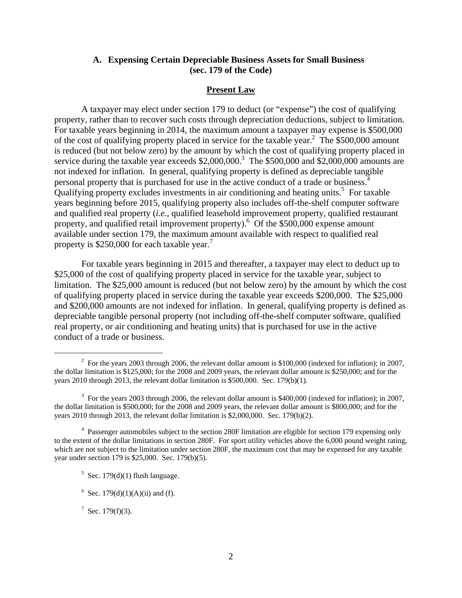#### **A. Expensing Certain Depreciable Business Assets for Small Business (sec. 179 of the Code)**

#### **Present Law**

A taxpayer may elect under section 179 to deduct (or "expense") the cost of qualifying property, rather than to recover such costs through depreciation deductions, subject to limitation. For taxable years beginning in 2014, the maximum amount a taxpayer may expense is \$500,000 of the cost of qualifying property placed in service for the taxable year.<sup>2</sup> The \$500,000 amount is reduced (but not below zero) by the amount by which the cost of qualifying property placed in service during the taxable year exceeds  $$2,000,000$ .<sup>3</sup> The  $$500,000$  and  $$2,000,000$  amounts are not indexed for inflation. In general, qualifying property is defined as depreciable tangible personal property that is purchased for use in the active conduct of a trade or business.4 Qualifying property excludes investments in air conditioning and heating units.<sup>5</sup> For taxable years beginning before 2015, qualifying property also includes off-the-shelf computer software and qualified real property (*i.e.*, qualified leasehold improvement property, qualified restaurant property, and qualified retail improvement property).<sup>6</sup> Of the \$500,000 expense amount available under section 179, the maximum amount available with respect to qualified real property is  $$250,000$  for each taxable year.<sup>7</sup>

For taxable years beginning in 2015 and thereafter, a taxpayer may elect to deduct up to \$25,000 of the cost of qualifying property placed in service for the taxable year, subject to limitation. The \$25,000 amount is reduced (but not below zero) by the amount by which the cost of qualifying property placed in service during the taxable year exceeds \$200,000. The \$25,000 and \$200,000 amounts are not indexed for inflation. In general, qualifying property is defined as depreciable tangible personal property (not including off-the-shelf computer software, qualified real property, or air conditioning and heating units) that is purchased for use in the active conduct of a trade or business.

<sup>&</sup>lt;sup>2</sup> For the years 2003 through 2006, the relevant dollar amount is \$100,000 (indexed for inflation); in 2007, the dollar limitation is \$125,000; for the 2008 and 2009 years, the relevant dollar amount is \$250,000; and for the years 2010 through 2013, the relevant dollar limitation is \$500,000. Sec. 179(b)(1).

 $3$  For the years 2003 through 2006, the relevant dollar amount is \$400,000 (indexed for inflation); in 2007, the dollar limitation is \$500,000; for the 2008 and 2009 years, the relevant dollar amount is \$800,000; and for the years 2010 through 2013, the relevant dollar limitation is \$2,000,000. Sec. 179(b)(2).

<sup>&</sup>lt;sup>4</sup> Passenger automobiles subject to the section 280F limitation are eligible for section 179 expensing only to the extent of the dollar limitations in section 280F. For sport utility vehicles above the 6,000 pound weight rating, which are not subject to the limitation under section 280F, the maximum cost that may be expensed for any taxable year under section 179 is \$25,000. Sec. 179(b)(5).

 $5$  Sec. 179(d)(1) flush language.

<sup>&</sup>lt;sup>6</sup> Sec. 179(d)(1)(A)(ii) and (f).

<sup>&</sup>lt;sup>7</sup> Sec. 179(f)(3).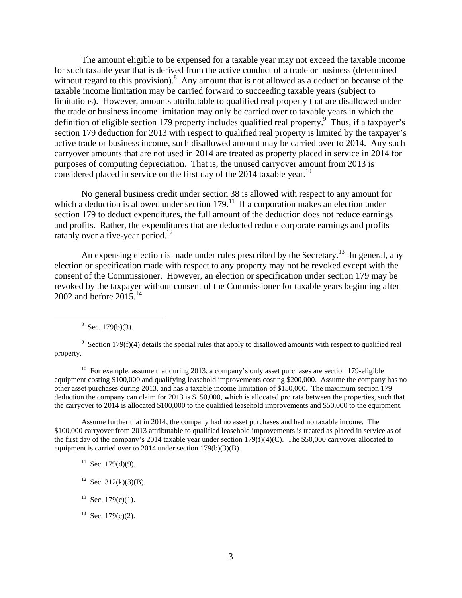The amount eligible to be expensed for a taxable year may not exceed the taxable income for such taxable year that is derived from the active conduct of a trade or business (determined without regard to this provision). $8$  Any amount that is not allowed as a deduction because of the taxable income limitation may be carried forward to succeeding taxable years (subject to limitations). However, amounts attributable to qualified real property that are disallowed under the trade or business income limitation may only be carried over to taxable years in which the definition of eligible section 179 property includes qualified real property.<sup>9</sup> Thus, if a taxpayer's section 179 deduction for 2013 with respect to qualified real property is limited by the taxpayer's active trade or business income, such disallowed amount may be carried over to 2014. Any such carryover amounts that are not used in 2014 are treated as property placed in service in 2014 for purposes of computing depreciation. That is, the unused carryover amount from 2013 is considered placed in service on the first day of the 2014 taxable year.<sup>10</sup>

No general business credit under section 38 is allowed with respect to any amount for which a deduction is allowed under section  $179<sup>11</sup>$  If a corporation makes an election under section 179 to deduct expenditures, the full amount of the deduction does not reduce earnings and profits. Rather, the expenditures that are deducted reduce corporate earnings and profits ratably over a five-year period.<sup>12</sup>

An expensing election is made under rules prescribed by the Secretary.<sup>13</sup> In general, any election or specification made with respect to any property may not be revoked except with the consent of the Commissioner. However, an election or specification under section 179 may be revoked by the taxpayer without consent of the Commissioner for taxable years beginning after 2002 and before  $2015.<sup>14</sup>$ 

  $8$  Sec. 179(b)(3).

<sup>10</sup> For example, assume that during 2013, a company's only asset purchases are section 179-eligible equipment costing \$100,000 and qualifying leasehold improvements costing \$200,000. Assume the company has no other asset purchases during 2013, and has a taxable income limitation of \$150,000. The maximum section 179 deduction the company can claim for 2013 is \$150,000, which is allocated pro rata between the properties, such that the carryover to 2014 is allocated \$100,000 to the qualified leasehold improvements and \$50,000 to the equipment.

Assume further that in 2014, the company had no asset purchases and had no taxable income. The \$100,000 carryover from 2013 attributable to qualified leasehold improvements is treated as placed in service as of the first day of the company's 2014 taxable year under section 179(f)(4)(C). The \$50,000 carryover allocated to equipment is carried over to 2014 under section 179(b)(3)(B).

 $11$  Sec. 179(d)(9).

- <sup>12</sup> Sec. 312(k)(3)(B).
- $13$  Sec. 179(c)(1).
- <sup>14</sup> Sec. 179(c)(2).

 $9$  Section 179(f)(4) details the special rules that apply to disallowed amounts with respect to qualified real property.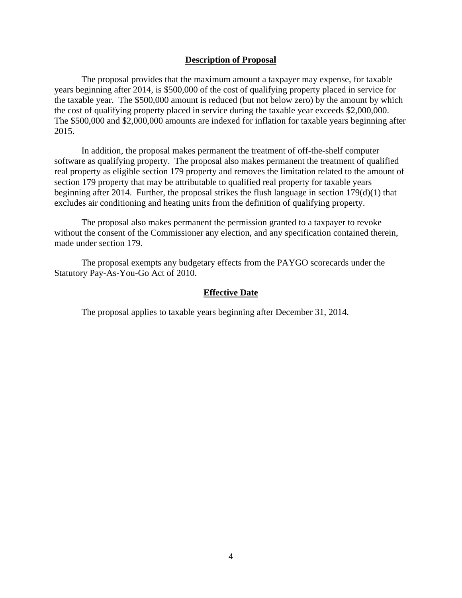#### **Description of Proposal**

The proposal provides that the maximum amount a taxpayer may expense, for taxable years beginning after 2014, is \$500,000 of the cost of qualifying property placed in service for the taxable year. The \$500,000 amount is reduced (but not below zero) by the amount by which the cost of qualifying property placed in service during the taxable year exceeds \$2,000,000. The \$500,000 and \$2,000,000 amounts are indexed for inflation for taxable years beginning after 2015.

In addition, the proposal makes permanent the treatment of off-the-shelf computer software as qualifying property. The proposal also makes permanent the treatment of qualified real property as eligible section 179 property and removes the limitation related to the amount of section 179 property that may be attributable to qualified real property for taxable years beginning after 2014. Further, the proposal strikes the flush language in section 179(d)(1) that excludes air conditioning and heating units from the definition of qualifying property.

The proposal also makes permanent the permission granted to a taxpayer to revoke without the consent of the Commissioner any election, and any specification contained therein, made under section 179.

The proposal exempts any budgetary effects from the PAYGO scorecards under the Statutory Pay-As-You-Go Act of 2010.

#### **Effective Date**

The proposal applies to taxable years beginning after December 31, 2014.